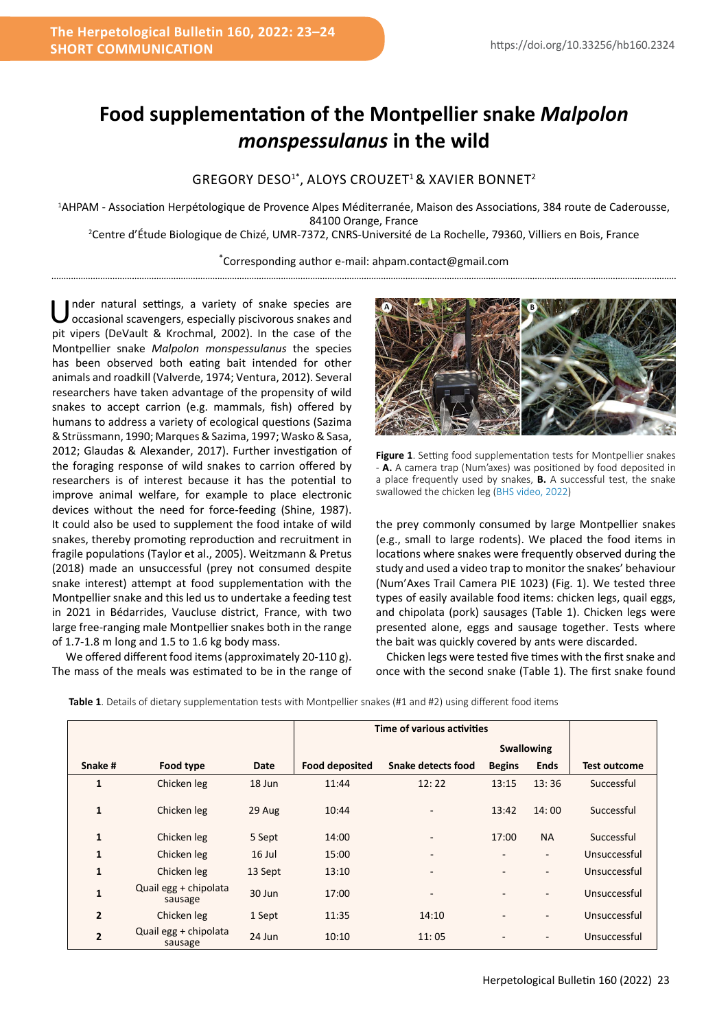## **Food supplementation of the Montpellier snake** *Malpolon monspessulanus* **in the wild**

## GREGORY DESO1\*, ALOYS CROUZET1 & XAVIER BONNET2

1 AHPAM - Association Herpétologique de Provence Alpes Méditerranée, Maison des Associations, 384 route de Caderousse, 84100 Orange, France 2 Centre d'Étude Biologique de Chizé, UMR-7372, CNRS-Université de La Rochelle, 79360, Villiers en Bois, France

> \* Corresponding author e-mail: ahpam.contact@gmail.com

Under natural settings, a variety of snake species are occasional scavengers, especially piscivorous snakes and pit vipers (DeVault & Krochmal, 2002). In the case of the Montpellier snake *Malpolon monspessulanus* the species has been observed both eating bait intended for other animals and roadkill (Valverde, 1974; Ventura, 2012). Several researchers have taken advantage of the propensity of wild snakes to accept carrion (e.g. mammals, fish) offered by humans to address a variety of ecological questions (Sazima & Strüssmann, 1990; Marques & Sazima, 1997; Wasko & Sasa, 2012; Glaudas & Alexander, 2017). Further investigation of the foraging response of wild snakes to carrion offered by researchers is of interest because it has the potential to improve animal welfare, for example to place electronic devices without the need for force-feeding (Shine, 1987). It could also be used to supplement the food intake of wild snakes, thereby promoting reproduction and recruitment in fragile populations (Taylor et al., 2005). Weitzmann & Pretus (2018) made an unsuccessful (prey not consumed despite snake interest) attempt at food supplementation with the Montpellier snake and this led us to undertake a feeding test in 2021 in Bédarrides, Vaucluse district, France, with two large free-ranging male Montpellier snakes both in the range of 1.7-1.8 m long and 1.5 to 1.6 kg body mass.

We offered different food items (approximately 20-110 g). The mass of the meals was estimated to be in the range of



**Figure 1**. Setting food supplementation tests for Montpellier snakes - **A.** A camera trap (Num'axes) was positioned by food deposited in a place frequently used by snakes, **B.** A successful test, the snake swallowed the chicken leg [\(BHS video, 2022\)](https://youtu.be/xKtBPMooFa0)

the prey commonly consumed by large Montpellier snakes (e.g., small to large rodents). We placed the food items in locations where snakes were frequently observed during the study and used a video trap to monitor the snakes' behaviour (Num'Axes Trail Camera PIE 1023) (Fig. 1). We tested three types of easily available food items: chicken legs, quail eggs, and chipolata (pork) sausages (Table 1). Chicken legs were presented alone, eggs and sausage together. Tests where the bait was quickly covered by ants were discarded.

Chicken legs were tested five times with the first snake and once with the second snake (Table 1). The first snake found

|                |                                  |         | Time of various activities |                          |                          |                          |              |
|----------------|----------------------------------|---------|----------------------------|--------------------------|--------------------------|--------------------------|--------------|
|                |                                  |         | <b>Swallowing</b>          |                          |                          |                          |              |
| Snake #        | Food type                        | Date    | <b>Food deposited</b>      | Snake detects food       | <b>Begins</b>            | <b>Ends</b>              | Test outcome |
| $\mathbf{1}$   | Chicken leg                      | 18 Jun  | 11:44                      | 12:22                    | 13:15                    | 13:36                    | Successful   |
| $\mathbf{1}$   | Chicken leg                      | 29 Aug  | 10:44                      |                          | 13:42                    | 14:00                    | Successful   |
| 1              | Chicken leg                      | 5 Sept  | 14:00                      | $\overline{\phantom{a}}$ | 17:00                    | <b>NA</b>                | Successful   |
| $\mathbf{1}$   | Chicken leg                      | 16 Jul  | 15:00                      | $\overline{\phantom{a}}$ | $\overline{\phantom{a}}$ | $\overline{\phantom{0}}$ | Unsuccessful |
| $\mathbf{1}$   | Chicken leg                      | 13 Sept | 13:10                      | $\overline{\phantom{a}}$ |                          |                          | Unsuccessful |
| $\mathbf{1}$   | Quail egg + chipolata<br>sausage | 30 Jun  | 17:00                      | $\overline{\phantom{a}}$ | $\blacksquare$           | $\overline{\phantom{0}}$ | Unsuccessful |
| $\overline{2}$ | Chicken leg                      | 1 Sept  | 11:35                      | 14:10                    |                          | ۰                        | Unsuccessful |
| $\overline{2}$ | Quail egg + chipolata<br>sausage | 24 Jun  | 10:10                      | 11:05                    |                          | $\overline{\phantom{0}}$ | Unsuccessful |

**Table 1**. Details of dietary supplementation tests with Montpellier snakes (#1 and #2) using different food items